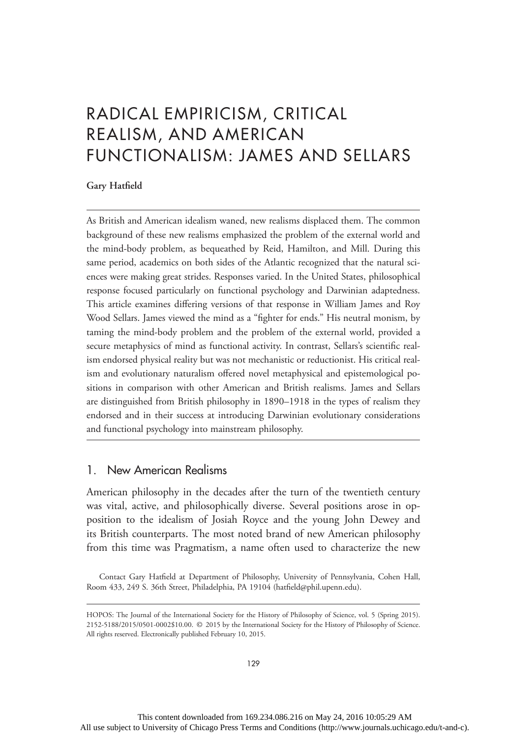# RADICAL EMPIRICISM, CRITICAL REALISM, AND AMERICAN FUNCTIONALISM: JAMES AND SELLARS

Gary Hatfield

As British and American idealism waned, new realisms displaced them. The common background of these new realisms emphasized the problem of the external world and the mind-body problem, as bequeathed by Reid, Hamilton, and Mill. During this same period, academics on both sides of the Atlantic recognized that the natural sciences were making great strides. Responses varied. In the United States, philosophical response focused particularly on functional psychology and Darwinian adaptedness. This article examines differing versions of that response in William James and Roy Wood Sellars. James viewed the mind as a "fighter for ends." His neutral monism, by taming the mind-body problem and the problem of the external world, provided a secure metaphysics of mind as functional activity. In contrast, Sellars's scientific realism endorsed physical reality but was not mechanistic or reductionist. His critical realism and evolutionary naturalism offered novel metaphysical and epistemological positions in comparison with other American and British realisms. James and Sellars are distinguished from British philosophy in 1890–1918 in the types of realism they endorsed and in their success at introducing Darwinian evolutionary considerations and functional psychology into mainstream philosophy.

## 1. New American Realisms

American philosophy in the decades after the turn of the twentieth century was vital, active, and philosophically diverse. Several positions arose in opposition to the idealism of Josiah Royce and the young John Dewey and its British counterparts. The most noted brand of new American philosophy from this time was Pragmatism, a name often used to characterize the new

Contact Gary Hatfield at Department of Philosophy, University of Pennsylvania, Cohen Hall, Room 433, 249 S. 36th Street, Philadelphia, PA 19104 (hatfield@phil.upenn.edu).

HOPOS: The Journal of the International Society for the History of Philosophy of Science, vol. 5 (Spring 2015). 2152-5188/2015/0501-0002\$10.00. © 2015 by the International Society for the History of Philosophy of Science. All rights reserved. Electronically published February 10, 2015.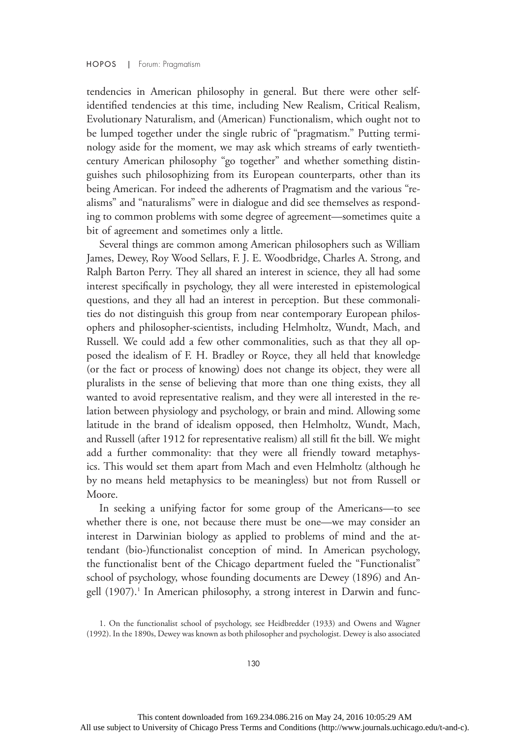tendencies in American philosophy in general. But there were other selfidentified tendencies at this time, including New Realism, Critical Realism, Evolutionary Naturalism, and (American) Functionalism, which ought not to be lumped together under the single rubric of "pragmatism." Putting terminology aside for the moment, we may ask which streams of early twentiethcentury American philosophy "go together" and whether something distinguishes such philosophizing from its European counterparts, other than its being American. For indeed the adherents of Pragmatism and the various "realisms" and "naturalisms" were in dialogue and did see themselves as responding to common problems with some degree of agreement—sometimes quite a bit of agreement and sometimes only a little.

Several things are common among American philosophers such as William James, Dewey, Roy Wood Sellars, F. J. E. Woodbridge, Charles A. Strong, and Ralph Barton Perry. They all shared an interest in science, they all had some interest specifically in psychology, they all were interested in epistemological questions, and they all had an interest in perception. But these commonalities do not distinguish this group from near contemporary European philosophers and philosopher-scientists, including Helmholtz, Wundt, Mach, and Russell. We could add a few other commonalities, such as that they all opposed the idealism of F. H. Bradley or Royce, they all held that knowledge (or the fact or process of knowing) does not change its object, they were all pluralists in the sense of believing that more than one thing exists, they all wanted to avoid representative realism, and they were all interested in the relation between physiology and psychology, or brain and mind. Allowing some latitude in the brand of idealism opposed, then Helmholtz, Wundt, Mach, and Russell (after 1912 for representative realism) all still fit the bill. We might add a further commonality: that they were all friendly toward metaphysics. This would set them apart from Mach and even Helmholtz (although he by no means held metaphysics to be meaningless) but not from Russell or Moore.

In seeking a unifying factor for some group of the Americans—to see whether there is one, not because there must be one—we may consider an interest in Darwinian biology as applied to problems of mind and the attendant (bio-)functionalist conception of mind. In American psychology, the functionalist bent of the Chicago department fueled the "Functionalist" school of psychology, whose founding documents are Dewey (1896) and Angell (1907).<sup>1</sup> In American philosophy, a strong interest in Darwin and func-

<sup>1.</sup> On the functionalist school of psychology, see Heidbredder (1933) and Owens and Wagner (1992). In the 1890s, Dewey was known as both philosopher and psychologist. Dewey is also associated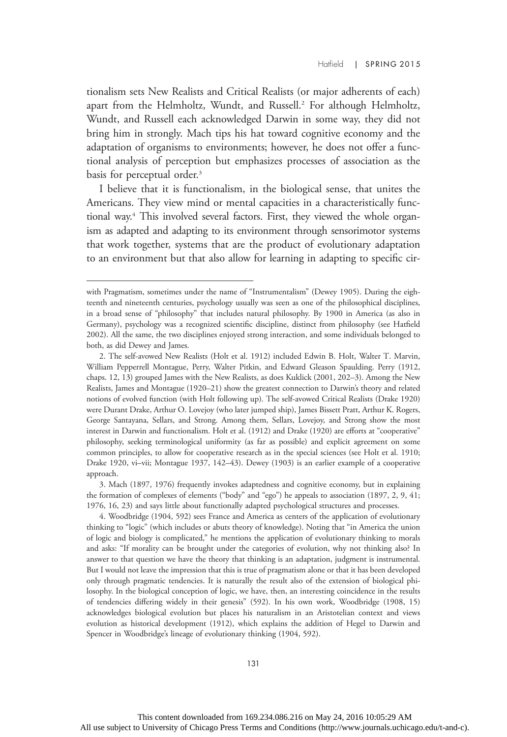tionalism sets New Realists and Critical Realists (or major adherents of each) apart from the Helmholtz, Wundt, and Russell.<sup>2</sup> For although Helmholtz, Wundt, and Russell each acknowledged Darwin in some way, they did not bring him in strongly. Mach tips his hat toward cognitive economy and the adaptation of organisms to environments; however, he does not offer a functional analysis of perception but emphasizes processes of association as the basis for perceptual order.<sup>3</sup>

I believe that it is functionalism, in the biological sense, that unites the Americans. They view mind or mental capacities in a characteristically functional way.4 This involved several factors. First, they viewed the whole organism as adapted and adapting to its environment through sensorimotor systems that work together, systems that are the product of evolutionary adaptation to an environment but that also allow for learning in adapting to specific cir-

3. Mach (1897, 1976) frequently invokes adaptedness and cognitive economy, but in explaining the formation of complexes of elements ("body" and "ego") he appeals to association (1897, 2, 9, 41; 1976, 16, 23) and says little about functionally adapted psychological structures and processes.

4. Woodbridge (1904, 592) sees France and America as centers of the application of evolutionary thinking to "logic" (which includes or abuts theory of knowledge). Noting that "in America the union of logic and biology is complicated," he mentions the application of evolutionary thinking to morals and asks: "If morality can be brought under the categories of evolution, why not thinking also? In answer to that question we have the theory that thinking is an adaptation, judgment is instrumental. But I would not leave the impression that this is true of pragmatism alone or that it has been developed only through pragmatic tendencies. It is naturally the result also of the extension of biological philosophy. In the biological conception of logic, we have, then, an interesting coincidence in the results of tendencies differing widely in their genesis" (592). In his own work, Woodbridge (1908, 15) acknowledges biological evolution but places his naturalism in an Aristotelian context and views evolution as historical development (1912), which explains the addition of Hegel to Darwin and Spencer in Woodbridge's lineage of evolutionary thinking (1904, 592).

with Pragmatism, sometimes under the name of "Instrumentalism" (Dewey 1905). During the eighteenth and nineteenth centuries, psychology usually was seen as one of the philosophical disciplines, in a broad sense of "philosophy" that includes natural philosophy. By 1900 in America (as also in Germany), psychology was a recognized scientific discipline, distinct from philosophy (see Hatfield 2002). All the same, the two disciplines enjoyed strong interaction, and some individuals belonged to both, as did Dewey and James.

<sup>2.</sup> The self-avowed New Realists (Holt et al. 1912) included Edwin B. Holt, Walter T. Marvin, William Pepperrell Montague, Perry, Walter Pitkin, and Edward Gleason Spaulding. Perry (1912, chaps. 12, 13) grouped James with the New Realists, as does Kuklick (2001, 202–3). Among the New Realists, James and Montague (1920–21) show the greatest connection to Darwin's theory and related notions of evolved function (with Holt following up). The self-avowed Critical Realists (Drake 1920) were Durant Drake, Arthur O. Lovejoy (who later jumped ship), James Bissett Pratt, Arthur K. Rogers, George Santayana, Sellars, and Strong. Among them, Sellars, Lovejoy, and Strong show the most interest in Darwin and functionalism. Holt et al. (1912) and Drake (1920) are efforts at "cooperative" philosophy, seeking terminological uniformity (as far as possible) and explicit agreement on some common principles, to allow for cooperative research as in the special sciences (see Holt et al. 1910; Drake 1920, vi–vii; Montague 1937, 142–43). Dewey (1903) is an earlier example of a cooperative approach.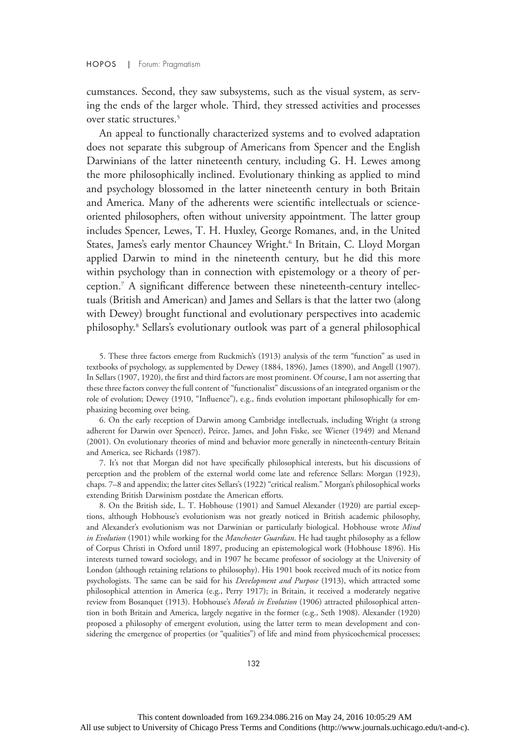cumstances. Second, they saw subsystems, such as the visual system, as serving the ends of the larger whole. Third, they stressed activities and processes over static structures.<sup>5</sup>

An appeal to functionally characterized systems and to evolved adaptation does not separate this subgroup of Americans from Spencer and the English Darwinians of the latter nineteenth century, including G. H. Lewes among the more philosophically inclined. Evolutionary thinking as applied to mind and psychology blossomed in the latter nineteenth century in both Britain and America. Many of the adherents were scientific intellectuals or scienceoriented philosophers, often without university appointment. The latter group includes Spencer, Lewes, T. H. Huxley, George Romanes, and, in the United States, James's early mentor Chauncey Wright.<sup>6</sup> In Britain, C. Lloyd Morgan applied Darwin to mind in the nineteenth century, but he did this more within psychology than in connection with epistemology or a theory of perception.7 A significant difference between these nineteenth-century intellectuals (British and American) and James and Sellars is that the latter two (along with Dewey) brought functional and evolutionary perspectives into academic philosophy.8 Sellars's evolutionary outlook was part of a general philosophical

5. These three factors emerge from Ruckmich's (1913) analysis of the term "function" as used in textbooks of psychology, as supplemented by Dewey (1884, 1896), James (1890), and Angell (1907). In Sellars (1907, 1920), the first and third factors are most prominent. Of course, I am not asserting that these three factors convey the full content of "functionalist" discussions of an integrated organism or the role of evolution; Dewey (1910, "Influence"), e.g., finds evolution important philosophically for emphasizing becoming over being.

6. On the early reception of Darwin among Cambridge intellectuals, including Wright (a strong adherent for Darwin over Spencer), Peirce, James, and John Fiske, see Wiener (1949) and Menand (2001). On evolutionary theories of mind and behavior more generally in nineteenth-century Britain and America, see Richards (1987).

7. It's not that Morgan did not have specifically philosophical interests, but his discussions of perception and the problem of the external world come late and reference Sellars: Morgan (1923), chaps. 7–8 and appendix; the latter cites Sellars's (1922) "critical realism." Morgan's philosophical works extending British Darwinism postdate the American efforts.

8. On the British side, L. T. Hobhouse (1901) and Samuel Alexander (1920) are partial exceptions, although Hobhouse's evolutionism was not greatly noticed in British academic philosophy, and Alexander's evolutionism was not Darwinian or particularly biological. Hobhouse wrote Mind in Evolution (1901) while working for the Manchester Guardian. He had taught philosophy as a fellow of Corpus Christi in Oxford until 1897, producing an epistemological work (Hobhouse 1896). His interests turned toward sociology, and in 1907 he became professor of sociology at the University of London (although retaining relations to philosophy). His 1901 book received much of its notice from psychologists. The same can be said for his *Development and Purpose* (1913), which attracted some philosophical attention in America (e.g., Perry 1917); in Britain, it received a moderately negative review from Bosanquet (1913). Hobhouse's Morals in Evolution (1906) attracted philosophical attention in both Britain and America, largely negative in the former (e.g., Seth 1908). Alexander (1920) proposed a philosophy of emergent evolution, using the latter term to mean development and considering the emergence of properties (or "qualities") of life and mind from physicochemical processes;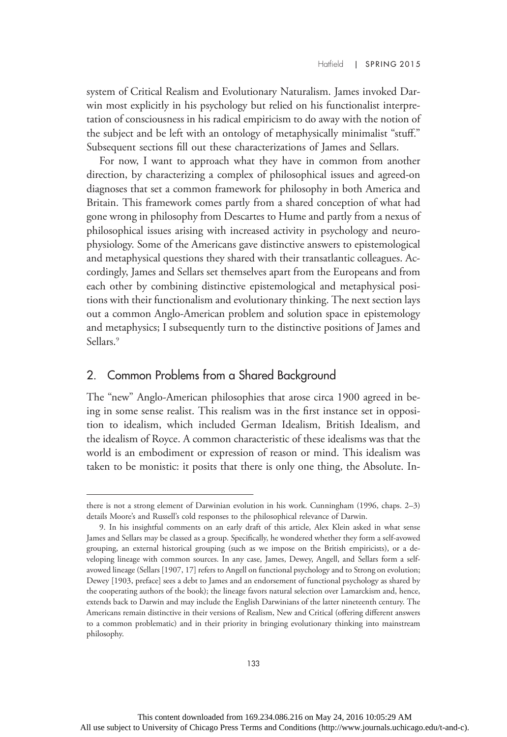system of Critical Realism and Evolutionary Naturalism. James invoked Darwin most explicitly in his psychology but relied on his functionalist interpretation of consciousness in his radical empiricism to do away with the notion of the subject and be left with an ontology of metaphysically minimalist "stuff." Subsequent sections fill out these characterizations of James and Sellars.

For now, I want to approach what they have in common from another direction, by characterizing a complex of philosophical issues and agreed-on diagnoses that set a common framework for philosophy in both America and Britain. This framework comes partly from a shared conception of what had gone wrong in philosophy from Descartes to Hume and partly from a nexus of philosophical issues arising with increased activity in psychology and neurophysiology. Some of the Americans gave distinctive answers to epistemological and metaphysical questions they shared with their transatlantic colleagues. Accordingly, James and Sellars set themselves apart from the Europeans and from each other by combining distinctive epistemological and metaphysical positions with their functionalism and evolutionary thinking. The next section lays out a common Anglo-American problem and solution space in epistemology and metaphysics; I subsequently turn to the distinctive positions of James and Sellars.<sup>9</sup>

#### 2. Common Problems from a Shared Background

The "new" Anglo-American philosophies that arose circa 1900 agreed in being in some sense realist. This realism was in the first instance set in opposition to idealism, which included German Idealism, British Idealism, and the idealism of Royce. A common characteristic of these idealisms was that the world is an embodiment or expression of reason or mind. This idealism was taken to be monistic: it posits that there is only one thing, the Absolute. In-

there is not a strong element of Darwinian evolution in his work. Cunningham (1996, chaps. 2–3) details Moore's and Russell's cold responses to the philosophical relevance of Darwin.

<sup>9.</sup> In his insightful comments on an early draft of this article, Alex Klein asked in what sense James and Sellars may be classed as a group. Specifically, he wondered whether they form a self-avowed grouping, an external historical grouping (such as we impose on the British empiricists), or a developing lineage with common sources. In any case, James, Dewey, Angell, and Sellars form a selfavowed lineage (Sellars [1907, 17] refers to Angell on functional psychology and to Strong on evolution; Dewey [1903, preface] sees a debt to James and an endorsement of functional psychology as shared by the cooperating authors of the book); the lineage favors natural selection over Lamarckism and, hence, extends back to Darwin and may include the English Darwinians of the latter nineteenth century. The Americans remain distinctive in their versions of Realism, New and Critical (offering different answers to a common problematic) and in their priority in bringing evolutionary thinking into mainstream philosophy.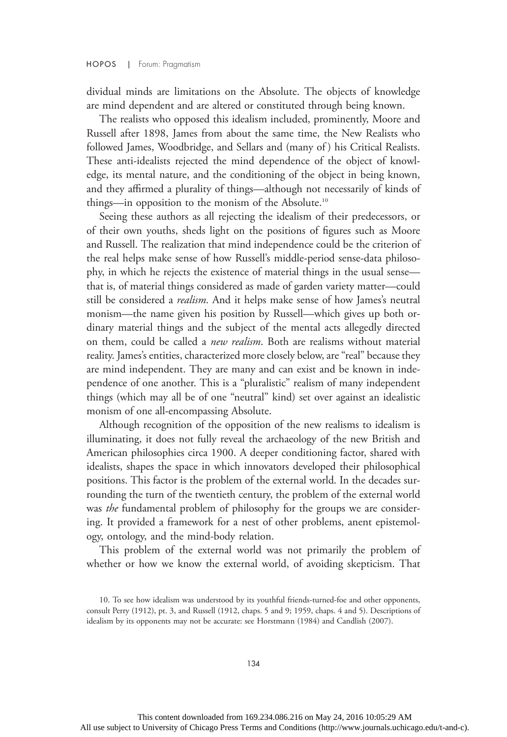dividual minds are limitations on the Absolute. The objects of knowledge are mind dependent and are altered or constituted through being known.

The realists who opposed this idealism included, prominently, Moore and Russell after 1898, James from about the same time, the New Realists who followed James, Woodbridge, and Sellars and (many of ) his Critical Realists. These anti-idealists rejected the mind dependence of the object of knowledge, its mental nature, and the conditioning of the object in being known, and they affirmed a plurality of things—although not necessarily of kinds of things—in opposition to the monism of the Absolute.10

Seeing these authors as all rejecting the idealism of their predecessors, or of their own youths, sheds light on the positions of figures such as Moore and Russell. The realization that mind independence could be the criterion of the real helps make sense of how Russell's middle-period sense-data philosophy, in which he rejects the existence of material things in the usual sense that is, of material things considered as made of garden variety matter—could still be considered a *realism*. And it helps make sense of how James's neutral monism—the name given his position by Russell—which gives up both ordinary material things and the subject of the mental acts allegedly directed on them, could be called a new realism. Both are realisms without material reality. James's entities, characterized more closely below, are "real" because they are mind independent. They are many and can exist and be known in independence of one another. This is a "pluralistic" realism of many independent things (which may all be of one "neutral" kind) set over against an idealistic monism of one all-encompassing Absolute.

Although recognition of the opposition of the new realisms to idealism is illuminating, it does not fully reveal the archaeology of the new British and American philosophies circa 1900. A deeper conditioning factor, shared with idealists, shapes the space in which innovators developed their philosophical positions. This factor is the problem of the external world. In the decades surrounding the turn of the twentieth century, the problem of the external world was *the* fundamental problem of philosophy for the groups we are considering. It provided a framework for a nest of other problems, anent epistemology, ontology, and the mind-body relation.

This problem of the external world was not primarily the problem of whether or how we know the external world, of avoiding skepticism. That

<sup>10.</sup> To see how idealism was understood by its youthful friends-turned-foe and other opponents, consult Perry (1912), pt. 3, and Russell (1912, chaps. 5 and 9; 1959, chaps. 4 and 5). Descriptions of idealism by its opponents may not be accurate: see Horstmann (1984) and Candlish (2007).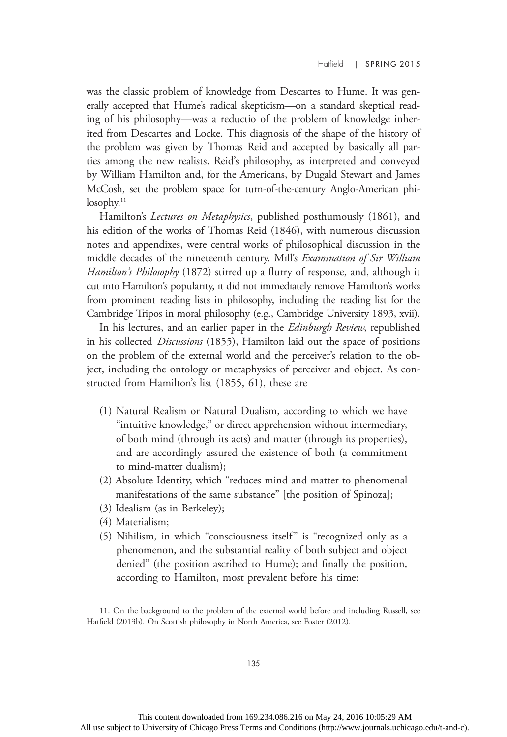was the classic problem of knowledge from Descartes to Hume. It was generally accepted that Hume's radical skepticism—on a standard skeptical reading of his philosophy—was a reductio of the problem of knowledge inherited from Descartes and Locke. This diagnosis of the shape of the history of the problem was given by Thomas Reid and accepted by basically all parties among the new realists. Reid's philosophy, as interpreted and conveyed by William Hamilton and, for the Americans, by Dugald Stewart and James McCosh, set the problem space for turn-of-the-century Anglo-American philosophy.<sup>11</sup>

Hamilton's Lectures on Metaphysics, published posthumously (1861), and his edition of the works of Thomas Reid (1846), with numerous discussion notes and appendixes, were central works of philosophical discussion in the middle decades of the nineteenth century. Mill's *Examination of Sir William* Hamilton's Philosophy (1872) stirred up a flurry of response, and, although it cut into Hamilton's popularity, it did not immediately remove Hamilton's works from prominent reading lists in philosophy, including the reading list for the Cambridge Tripos in moral philosophy (e.g., Cambridge University 1893, xvii).

In his lectures, and an earlier paper in the *Edinburgh Review*, republished in his collected Discussions (1855), Hamilton laid out the space of positions on the problem of the external world and the perceiver's relation to the object, including the ontology or metaphysics of perceiver and object. As constructed from Hamilton's list (1855, 61), these are

- (1) Natural Realism or Natural Dualism, according to which we have "intuitive knowledge," or direct apprehension without intermediary, of both mind (through its acts) and matter (through its properties), and are accordingly assured the existence of both (a commitment to mind-matter dualism);
- (2) Absolute Identity, which "reduces mind and matter to phenomenal manifestations of the same substance" [the position of Spinoza];
- (3) Idealism (as in Berkeley);
- (4) Materialism;
- (5) Nihilism, in which "consciousness itself" is "recognized only as a phenomenon, and the substantial reality of both subject and object denied" (the position ascribed to Hume); and finally the position, according to Hamilton, most prevalent before his time:

11. On the background to the problem of the external world before and including Russell, see Hatfield (2013b). On Scottish philosophy in North America, see Foster (2012).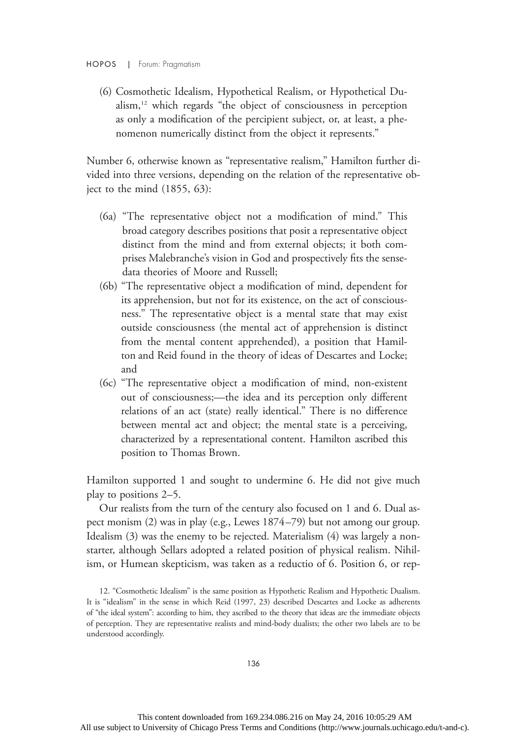#### HOPOS | Forum: Pragmatism

(6) Cosmothetic Idealism, Hypothetical Realism, or Hypothetical Dualism,12 which regards "the object of consciousness in perception as only a modification of the percipient subject, or, at least, a phenomenon numerically distinct from the object it represents."

Number 6, otherwise known as "representative realism," Hamilton further divided into three versions, depending on the relation of the representative object to the mind (1855, 63):

- (6a) "The representative object not a modification of mind." This broad category describes positions that posit a representative object distinct from the mind and from external objects; it both comprises Malebranche's vision in God and prospectively fits the sensedata theories of Moore and Russell;
- (6b) "The representative object a modification of mind, dependent for its apprehension, but not for its existence, on the act of consciousness." The representative object is a mental state that may exist outside consciousness (the mental act of apprehension is distinct from the mental content apprehended), a position that Hamilton and Reid found in the theory of ideas of Descartes and Locke; and
- (6c) "The representative object a modification of mind, non-existent out of consciousness;—the idea and its perception only different relations of an act (state) really identical." There is no difference between mental act and object; the mental state is a perceiving, characterized by a representational content. Hamilton ascribed this position to Thomas Brown.

Hamilton supported 1 and sought to undermine 6. He did not give much play to positions 2–5.

Our realists from the turn of the century also focused on 1 and 6. Dual aspect monism (2) was in play (e.g., Lewes 1874–79) but not among our group. Idealism (3) was the enemy to be rejected. Materialism (4) was largely a nonstarter, although Sellars adopted a related position of physical realism. Nihilism, or Humean skepticism, was taken as a reductio of 6. Position 6, or rep-

<sup>12.</sup> "Cosmothetic Idealism" is the same position as Hypothetic Realism and Hypothetic Dualism. It is "idealism" in the sense in which Reid (1997, 23) described Descartes and Locke as adherents of "the ideal system": according to him, they ascribed to the theory that ideas are the immediate objects of perception. They are representative realists and mind-body dualists; the other two labels are to be understood accordingly.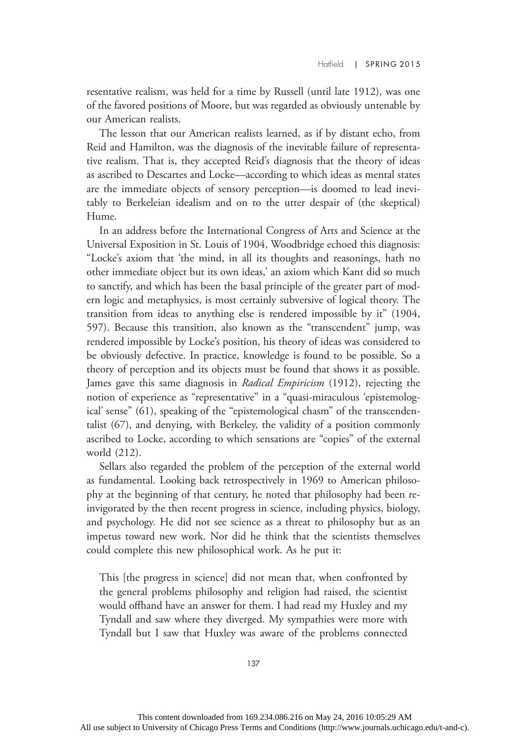resentative realism, was held for a time by Russell (until late 1912), was one of the favored positions of Moore, but was regarded as obviously untenable by our American realists.

The lesson that our American realists learned, as if by distant echo, from Reid and Hamilton, was the diagnosis of the inevitable failure of representative realism. That is, they accepted Reid's diagnosis that the theory of ideas as ascribed to Descartes and Locke—according to which ideas as mental states are the immediate objects of sensory perception—is doomed to lead inevitably to Berkeleian idealism and on to the utter despair of (the skeptical) Hume.

In an address before the International Congress of Arts and Science at the Universal Exposition in St. Louis of 1904, Woodbridge echoed this diagnosis: "Locke's axiom that 'the mind, in all its thoughts and reasonings, hath no other immediate object but its own ideas,' an axiom which Kant did so much to sanctify, and which has been the basal principle of the greater part of modern logic and metaphysics, is most certainly subversive of logical theory. The transition from ideas to anything else is rendered impossible by it" (1904, 597). Because this transition, also known as the "transcendent" jump, was rendered impossible by Locke's position, his theory of ideas was considered to be obviously defective. In practice, knowledge is found to be possible. So a theory of perception and its objects must be found that shows it as possible. James gave this same diagnosis in *Radical Empiricism* (1912), rejecting the notion of experience as "representative" in a "quasi-miraculous 'epistemological' sense" (61), speaking of the "epistemological chasm" of the transcendentalist (67), and denying, with Berkeley, the validity of a position commonly ascribed to Locke, according to which sensations are "copies" of the external world (212).

Sellars also regarded the problem of the perception of the external world as fundamental. Looking back retrospectively in 1969 to American philosophy at the beginning of that century, he noted that philosophy had been reinvigorated by the then recent progress in science, including physics, biology, and psychology. He did not see science as a threat to philosophy but as an impetus toward new work. Nor did he think that the scientists themselves could complete this new philosophical work. As he put it:

This [the progress in science] did not mean that, when confronted by the general problems philosophy and religion had raised, the scientist would offhand have an answer for them. I had read my Huxley and my Tyndall and saw where they diverged. My sympathies were more with Tyndall but I saw that Huxley was aware of the problems connected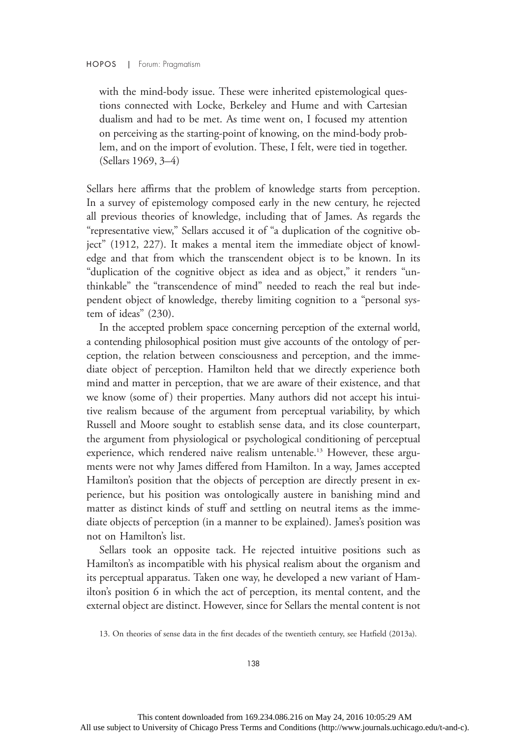with the mind-body issue. These were inherited epistemological questions connected with Locke, Berkeley and Hume and with Cartesian dualism and had to be met. As time went on, I focused my attention on perceiving as the starting-point of knowing, on the mind-body problem, and on the import of evolution. These, I felt, were tied in together. (Sellars 1969, 3–4)

Sellars here affirms that the problem of knowledge starts from perception. In a survey of epistemology composed early in the new century, he rejected all previous theories of knowledge, including that of James. As regards the "representative view," Sellars accused it of "a duplication of the cognitive object" (1912, 227). It makes a mental item the immediate object of knowledge and that from which the transcendent object is to be known. In its "duplication of the cognitive object as idea and as object," it renders "unthinkable" the "transcendence of mind" needed to reach the real but independent object of knowledge, thereby limiting cognition to a "personal system of ideas" (230).

In the accepted problem space concerning perception of the external world, a contending philosophical position must give accounts of the ontology of perception, the relation between consciousness and perception, and the immediate object of perception. Hamilton held that we directly experience both mind and matter in perception, that we are aware of their existence, and that we know (some of) their properties. Many authors did not accept his intuitive realism because of the argument from perceptual variability, by which Russell and Moore sought to establish sense data, and its close counterpart, the argument from physiological or psychological conditioning of perceptual experience, which rendered naive realism untenable.<sup>13</sup> However, these arguments were not why James differed from Hamilton. In a way, James accepted Hamilton's position that the objects of perception are directly present in experience, but his position was ontologically austere in banishing mind and matter as distinct kinds of stuff and settling on neutral items as the immediate objects of perception (in a manner to be explained). James's position was not on Hamilton's list.

Sellars took an opposite tack. He rejected intuitive positions such as Hamilton's as incompatible with his physical realism about the organism and its perceptual apparatus. Taken one way, he developed a new variant of Hamilton's position 6 in which the act of perception, its mental content, and the external object are distinct. However, since for Sellars the mental content is not

<sup>13.</sup> On theories of sense data in the first decades of the twentieth century, see Hatfield (2013a).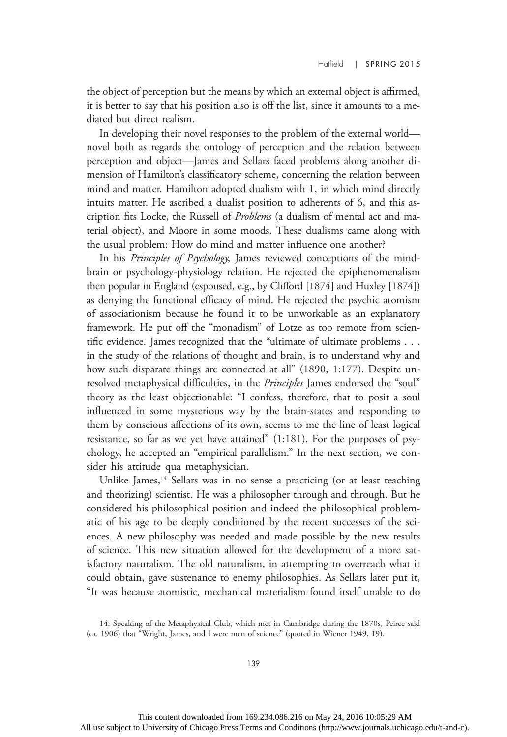the object of perception but the means by which an external object is affirmed, it is better to say that his position also is off the list, since it amounts to a mediated but direct realism.

In developing their novel responses to the problem of the external world novel both as regards the ontology of perception and the relation between perception and object—James and Sellars faced problems along another dimension of Hamilton's classificatory scheme, concerning the relation between mind and matter. Hamilton adopted dualism with 1, in which mind directly intuits matter. He ascribed a dualist position to adherents of 6, and this ascription fits Locke, the Russell of Problems (a dualism of mental act and material object), and Moore in some moods. These dualisms came along with the usual problem: How do mind and matter influence one another?

In his Principles of Psychology, James reviewed conceptions of the mindbrain or psychology-physiology relation. He rejected the epiphenomenalism then popular in England (espoused, e.g., by Clifford [1874] and Huxley [1874]) as denying the functional efficacy of mind. He rejected the psychic atomism of associationism because he found it to be unworkable as an explanatory framework. He put off the "monadism" of Lotze as too remote from scientific evidence. James recognized that the "ultimate of ultimate problems . . . in the study of the relations of thought and brain, is to understand why and how such disparate things are connected at all" (1890, 1:177). Despite unresolved metaphysical difficulties, in the *Principles* James endorsed the "soul" theory as the least objectionable: "I confess, therefore, that to posit a soul influenced in some mysterious way by the brain-states and responding to them by conscious affections of its own, seems to me the line of least logical resistance, so far as we yet have attained" (1:181). For the purposes of psychology, he accepted an "empirical parallelism." In the next section, we consider his attitude qua metaphysician.

Unlike James, $14$  Sellars was in no sense a practicing (or at least teaching and theorizing) scientist. He was a philosopher through and through. But he considered his philosophical position and indeed the philosophical problematic of his age to be deeply conditioned by the recent successes of the sciences. A new philosophy was needed and made possible by the new results of science. This new situation allowed for the development of a more satisfactory naturalism. The old naturalism, in attempting to overreach what it could obtain, gave sustenance to enemy philosophies. As Sellars later put it, "It was because atomistic, mechanical materialism found itself unable to do

<sup>14.</sup> Speaking of the Metaphysical Club, which met in Cambridge during the 1870s, Peirce said (ca. 1906) that "Wright, James, and I were men of science" (quoted in Wiener 1949, 19).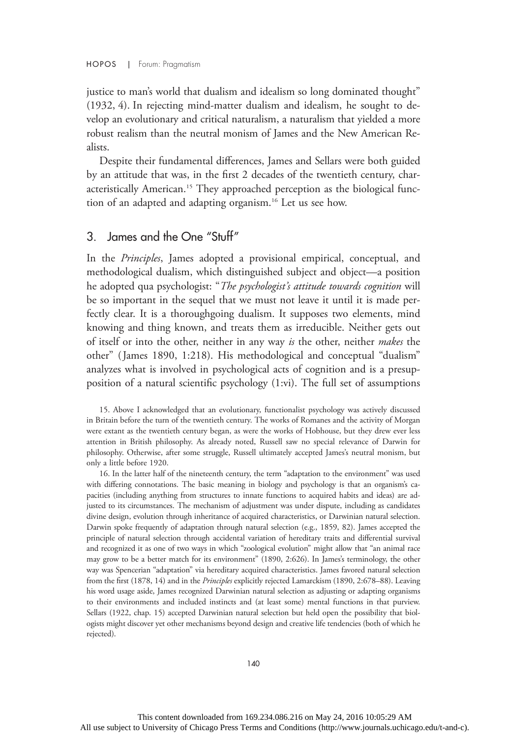justice to man's world that dualism and idealism so long dominated thought" (1932, 4). In rejecting mind-matter dualism and idealism, he sought to develop an evolutionary and critical naturalism, a naturalism that yielded a more robust realism than the neutral monism of James and the New American Realists.

Despite their fundamental differences, James and Sellars were both guided by an attitude that was, in the first 2 decades of the twentieth century, characteristically American.<sup>15</sup> They approached perception as the biological function of an adapted and adapting organism.16 Let us see how.

## 3. James and the One "Stuff"

In the *Principles*, James adopted a provisional empirical, conceptual, and methodological dualism, which distinguished subject and object—a position he adopted qua psychologist: "The psychologist's attitude towards cognition will be so important in the sequel that we must not leave it until it is made perfectly clear. It is a thoroughgoing dualism. It supposes two elements, mind knowing and thing known, and treats them as irreducible. Neither gets out of itself or into the other, neither in any way is the other, neither *makes* the other" ( James 1890, 1:218). His methodological and conceptual "dualism" analyzes what is involved in psychological acts of cognition and is a presupposition of a natural scientific psychology (1:vi). The full set of assumptions

15. Above I acknowledged that an evolutionary, functionalist psychology was actively discussed in Britain before the turn of the twentieth century. The works of Romanes and the activity of Morgan were extant as the twentieth century began, as were the works of Hobhouse, but they drew ever less attention in British philosophy. As already noted, Russell saw no special relevance of Darwin for philosophy. Otherwise, after some struggle, Russell ultimately accepted James's neutral monism, but only a little before 1920.

16. In the latter half of the nineteenth century, the term "adaptation to the environment" was used with differing connotations. The basic meaning in biology and psychology is that an organism's capacities (including anything from structures to innate functions to acquired habits and ideas) are adjusted to its circumstances. The mechanism of adjustment was under dispute, including as candidates divine design, evolution through inheritance of acquired characteristics, or Darwinian natural selection. Darwin spoke frequently of adaptation through natural selection (e.g., 1859, 82). James accepted the principle of natural selection through accidental variation of hereditary traits and differential survival and recognized it as one of two ways in which "zoological evolution" might allow that "an animal race may grow to be a better match for its environment" (1890, 2:626). In James's terminology, the other way was Spencerian "adaptation" via hereditary acquired characteristics. James favored natural selection from the first (1878, 14) and in the Principles explicitly rejected Lamarckism (1890, 2:678–88). Leaving his word usage aside, James recognized Darwinian natural selection as adjusting or adapting organisms to their environments and included instincts and (at least some) mental functions in that purview. Sellars (1922, chap. 15) accepted Darwinian natural selection but held open the possibility that biologists might discover yet other mechanisms beyond design and creative life tendencies (both of which he rejected).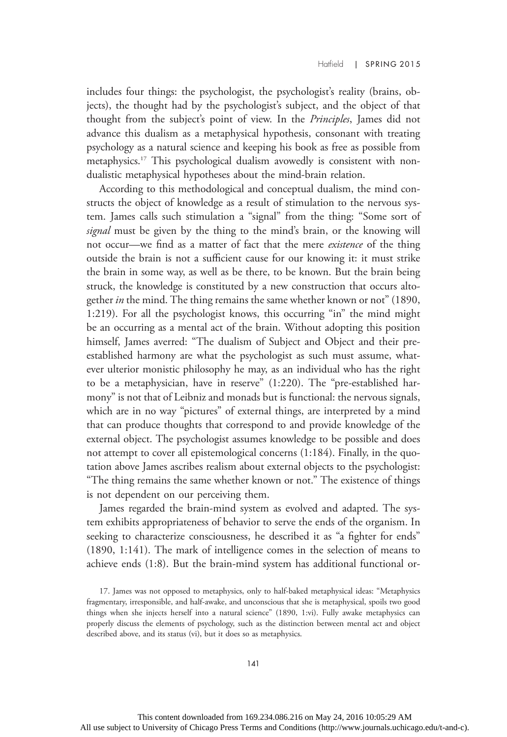includes four things: the psychologist, the psychologist's reality (brains, objects), the thought had by the psychologist's subject, and the object of that thought from the subject's point of view. In the Principles, James did not advance this dualism as a metaphysical hypothesis, consonant with treating psychology as a natural science and keeping his book as free as possible from metaphysics.17 This psychological dualism avowedly is consistent with nondualistic metaphysical hypotheses about the mind-brain relation.

According to this methodological and conceptual dualism, the mind constructs the object of knowledge as a result of stimulation to the nervous system. James calls such stimulation a "signal" from the thing: "Some sort of signal must be given by the thing to the mind's brain, or the knowing will not occur—we find as a matter of fact that the mere existence of the thing outside the brain is not a sufficient cause for our knowing it: it must strike the brain in some way, as well as be there, to be known. But the brain being struck, the knowledge is constituted by a new construction that occurs altogether in the mind. The thing remains the same whether known or not" (1890, 1:219). For all the psychologist knows, this occurring "in" the mind might be an occurring as a mental act of the brain. Without adopting this position himself, James averred: "The dualism of Subject and Object and their preestablished harmony are what the psychologist as such must assume, whatever ulterior monistic philosophy he may, as an individual who has the right to be a metaphysician, have in reserve" (1:220). The "pre-established harmony" is not that of Leibniz and monads but is functional: the nervous signals, which are in no way "pictures" of external things, are interpreted by a mind that can produce thoughts that correspond to and provide knowledge of the external object. The psychologist assumes knowledge to be possible and does not attempt to cover all epistemological concerns (1:184). Finally, in the quotation above James ascribes realism about external objects to the psychologist: "The thing remains the same whether known or not." The existence of things is not dependent on our perceiving them.

James regarded the brain-mind system as evolved and adapted. The system exhibits appropriateness of behavior to serve the ends of the organism. In seeking to characterize consciousness, he described it as "a fighter for ends" (1890, 1:141). The mark of intelligence comes in the selection of means to achieve ends (1:8). But the brain-mind system has additional functional or-

<sup>17.</sup> James was not opposed to metaphysics, only to half-baked metaphysical ideas: "Metaphysics fragmentary, irresponsible, and half-awake, and unconscious that she is metaphysical, spoils two good things when she injects herself into a natural science" (1890, 1:vi). Fully awake metaphysics can properly discuss the elements of psychology, such as the distinction between mental act and object described above, and its status (vi), but it does so as metaphysics.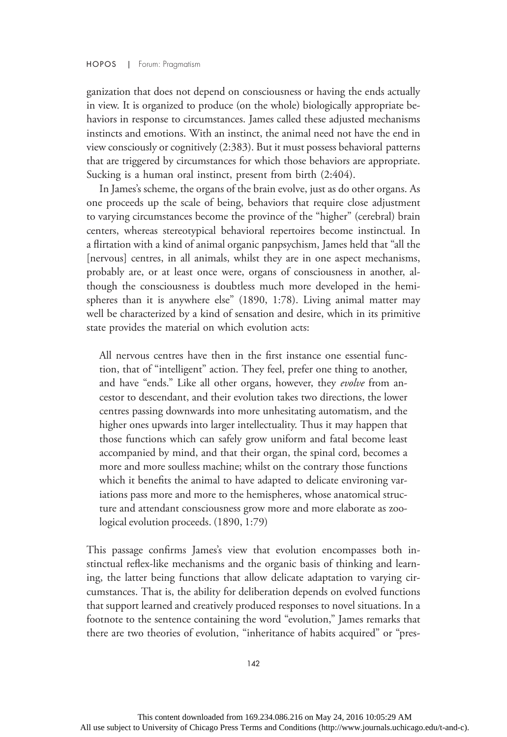ganization that does not depend on consciousness or having the ends actually in view. It is organized to produce (on the whole) biologically appropriate behaviors in response to circumstances. James called these adjusted mechanisms instincts and emotions. With an instinct, the animal need not have the end in view consciously or cognitively (2:383). But it must possess behavioral patterns that are triggered by circumstances for which those behaviors are appropriate. Sucking is a human oral instinct, present from birth (2:404).

In James's scheme, the organs of the brain evolve, just as do other organs. As one proceeds up the scale of being, behaviors that require close adjustment to varying circumstances become the province of the "higher" (cerebral) brain centers, whereas stereotypical behavioral repertoires become instinctual. In a flirtation with a kind of animal organic panpsychism, James held that "all the [nervous] centres, in all animals, whilst they are in one aspect mechanisms, probably are, or at least once were, organs of consciousness in another, although the consciousness is doubtless much more developed in the hemispheres than it is anywhere else" (1890, 1:78). Living animal matter may well be characterized by a kind of sensation and desire, which in its primitive state provides the material on which evolution acts:

All nervous centres have then in the first instance one essential function, that of "intelligent" action. They feel, prefer one thing to another, and have "ends." Like all other organs, however, they evolve from ancestor to descendant, and their evolution takes two directions, the lower centres passing downwards into more unhesitating automatism, and the higher ones upwards into larger intellectuality. Thus it may happen that those functions which can safely grow uniform and fatal become least accompanied by mind, and that their organ, the spinal cord, becomes a more and more soulless machine; whilst on the contrary those functions which it benefits the animal to have adapted to delicate environing variations pass more and more to the hemispheres, whose anatomical structure and attendant consciousness grow more and more elaborate as zoological evolution proceeds. (1890, 1:79)

This passage confirms James's view that evolution encompasses both instinctual reflex-like mechanisms and the organic basis of thinking and learning, the latter being functions that allow delicate adaptation to varying circumstances. That is, the ability for deliberation depends on evolved functions that support learned and creatively produced responses to novel situations. In a footnote to the sentence containing the word "evolution," James remarks that there are two theories of evolution, "inheritance of habits acquired" or "pres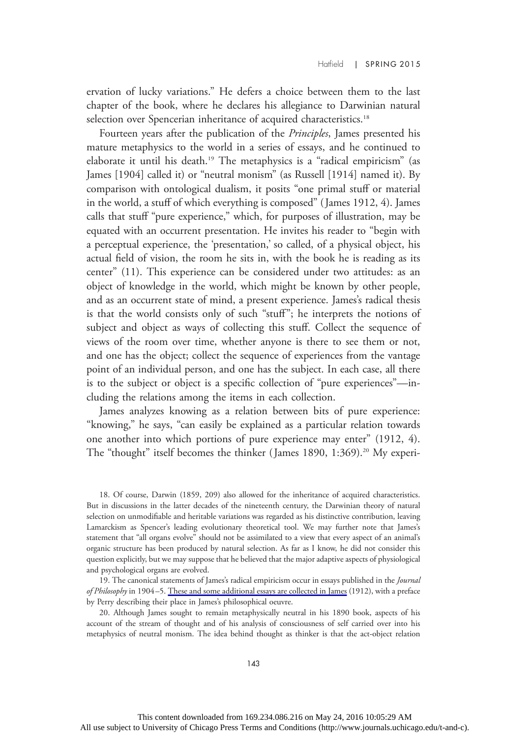ervation of lucky variations." He defers a choice between them to the last chapter of the book, where he declares his allegiance to Darwinian natural selection over Spencerian inheritance of acquired characteristics.<sup>18</sup>

Fourteen years after the publication of the *Principles*, James presented his mature metaphysics to the world in a series of essays, and he continued to elaborate it until his death.19 The metaphysics is a "radical empiricism" (as James [1904] called it) or "neutral monism" (as Russell [1914] named it). By comparison with ontological dualism, it posits "one primal stuff or material in the world, a stuff of which everything is composed" ( James 1912, 4). James calls that stuff "pure experience," which, for purposes of illustration, may be equated with an occurrent presentation. He invites his reader to "begin with a perceptual experience, the 'presentation,' so called, of a physical object, his actual field of vision, the room he sits in, with the book he is reading as its center" (11). This experience can be considered under two attitudes: as an object of knowledge in the world, which might be known by other people, and as an occurrent state of mind, a present experience. James's radical thesis is that the world consists only of such "stuff"; he interprets the notions of subject and object as ways of collecting this stuff. Collect the sequence of views of the room over time, whether anyone is there to see them or not, and one has the object; collect the sequence of experiences from the vantage point of an individual person, and one has the subject. In each case, all there is to the subject or object is a specific collection of "pure experiences"—including the relations among the items in each collection.

James analyzes knowing as a relation between bits of pure experience: "knowing," he says, "can easily be explained as a particular relation towards one another into which portions of pure experience may enter" (1912, 4). The "thought" itself becomes the thinker (James 1890, 1:369).<sup>20</sup> My experi-

18. Of course, Darwin (1859, 209) also allowed for the inheritance of acquired characteristics. But in discussions in the latter decades of the nineteenth century, the Darwinian theory of natural selection on unmodifiable and heritable variations was regarded as his distinctive contribution, leaving Lamarckism as Spencer's leading evolutionary theoretical tool. We may further note that James's statement that "all organs evolve" should not be assimilated to a view that every aspect of an animal's organic structure has been produced by natural selection. As far as I know, he did not consider this question explicitly, but we may suppose that he believed that the major adaptive aspects of physiological and psychological organs are evolved.

19. The canonical statements of James's radical empiricism occur in essays published in the Journal of Philosophy in 1904–5. [These and some additional essays are collected in James](http://www.journals.uchicago.edu/action/showLinks?crossref=10.1037%2Fh0070817) (1912), with a preface by Perry describing their place in James's philosophical oeuvre.

20. Although James sought to remain metaphysically neutral in his 1890 book, aspects of his account of the stream of thought and of his analysis of consciousness of self carried over into his metaphysics of neutral monism. The idea behind thought as thinker is that the act-object relation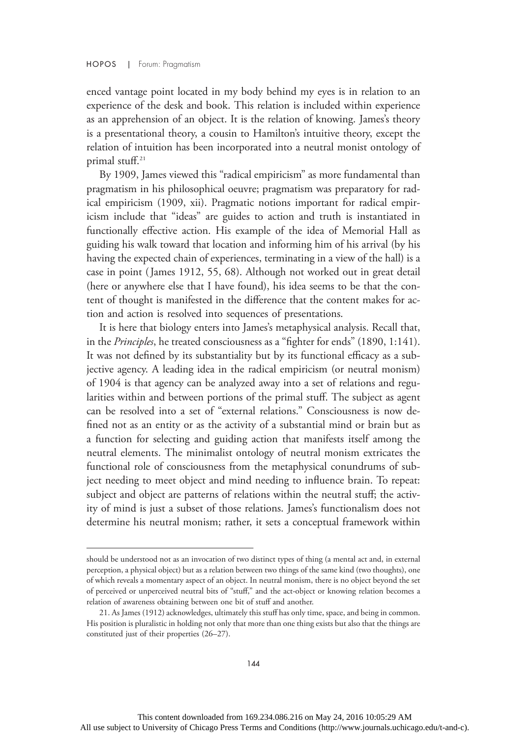enced vantage point located in my body behind my eyes is in relation to an experience of the desk and book. This relation is included within experience as an apprehension of an object. It is the relation of knowing. James's theory is a presentational theory, a cousin to Hamilton's intuitive theory, except the relation of intuition has been incorporated into a neutral monist ontology of primal stuff. 21

By 1909, James viewed this "radical empiricism" as more fundamental than pragmatism in his philosophical oeuvre; pragmatism was preparatory for radical empiricism (1909, xii). Pragmatic notions important for radical empiricism include that "ideas" are guides to action and truth is instantiated in functionally effective action. His example of the idea of Memorial Hall as guiding his walk toward that location and informing him of his arrival (by his having the expected chain of experiences, terminating in a view of the hall) is a case in point ( James 1912, 55, 68). Although not worked out in great detail (here or anywhere else that I have found), his idea seems to be that the content of thought is manifested in the difference that the content makes for action and action is resolved into sequences of presentations.

It is here that biology enters into James's metaphysical analysis. Recall that, in the Principles, he treated consciousness as a "fighter for ends" (1890, 1:141). It was not defined by its substantiality but by its functional efficacy as a subjective agency. A leading idea in the radical empiricism (or neutral monism) of 1904 is that agency can be analyzed away into a set of relations and regularities within and between portions of the primal stuff. The subject as agent can be resolved into a set of "external relations." Consciousness is now defined not as an entity or as the activity of a substantial mind or brain but as a function for selecting and guiding action that manifests itself among the neutral elements. The minimalist ontology of neutral monism extricates the functional role of consciousness from the metaphysical conundrums of subject needing to meet object and mind needing to influence brain. To repeat: subject and object are patterns of relations within the neutral stuff; the activity of mind is just a subset of those relations. James's functionalism does not determine his neutral monism; rather, it sets a conceptual framework within

should be understood not as an invocation of two distinct types of thing (a mental act and, in external perception, a physical object) but as a relation between two things of the same kind (two thoughts), one of which reveals a momentary aspect of an object. In neutral monism, there is no object beyond the set of perceived or unperceived neutral bits of "stuff," and the act-object or knowing relation becomes a relation of awareness obtaining between one bit of stuff and another.

<sup>21.</sup> As James (1912) acknowledges, ultimately this stuff has only time, space, and being in common. His position is pluralistic in holding not only that more than one thing exists but also that the things are constituted just of their properties (26–27).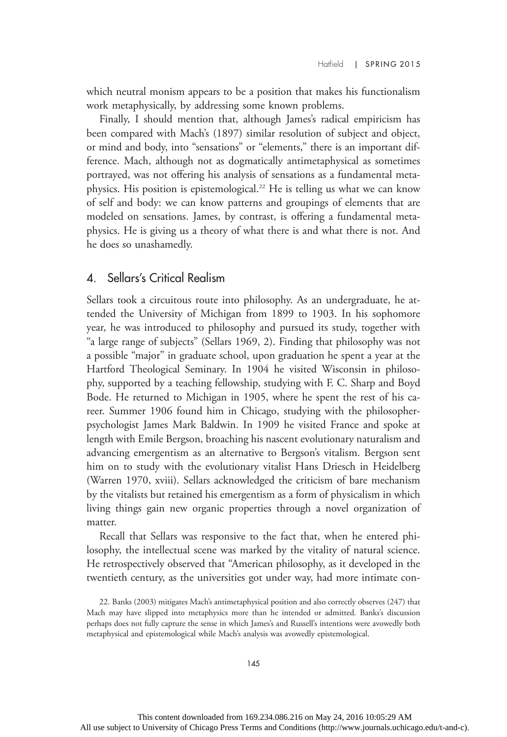which neutral monism appears to be a position that makes his functionalism work metaphysically, by addressing some known problems.

Finally, I should mention that, although James's radical empiricism has been compared with Mach's (1897) similar resolution of subject and object, or mind and body, into "sensations" or "elements," there is an important difference. Mach, although not as dogmatically antimetaphysical as sometimes portrayed, was not offering his analysis of sensations as a fundamental metaphysics. His position is epistemological.<sup>22</sup> He is telling us what we can know of self and body: we can know patterns and groupings of elements that are modeled on sensations. James, by contrast, is offering a fundamental metaphysics. He is giving us a theory of what there is and what there is not. And he does so unashamedly.

#### 4. Sellars's Critical Realism

Sellars took a circuitous route into philosophy. As an undergraduate, he attended the University of Michigan from 1899 to 1903. In his sophomore year, he was introduced to philosophy and pursued its study, together with "a large range of subjects" (Sellars 1969, 2). Finding that philosophy was not a possible "major" in graduate school, upon graduation he spent a year at the Hartford Theological Seminary. In 1904 he visited Wisconsin in philosophy, supported by a teaching fellowship, studying with F. C. Sharp and Boyd Bode. He returned to Michigan in 1905, where he spent the rest of his career. Summer 1906 found him in Chicago, studying with the philosopherpsychologist James Mark Baldwin. In 1909 he visited France and spoke at length with Emile Bergson, broaching his nascent evolutionary naturalism and advancing emergentism as an alternative to Bergson's vitalism. Bergson sent him on to study with the evolutionary vitalist Hans Driesch in Heidelberg (Warren 1970, xviii). Sellars acknowledged the criticism of bare mechanism by the vitalists but retained his emergentism as a form of physicalism in which living things gain new organic properties through a novel organization of matter.

Recall that Sellars was responsive to the fact that, when he entered philosophy, the intellectual scene was marked by the vitality of natural science. He retrospectively observed that "American philosophy, as it developed in the twentieth century, as the universities got under way, had more intimate con-

<sup>22.</sup> Banks (2003) mitigates Mach's antimetaphysical position and also correctly observes (247) that Mach may have slipped into metaphysics more than he intended or admitted. Banks's discussion perhaps does not fully capture the sense in which James's and Russell's intentions were avowedly both metaphysical and epistemological while Mach's analysis was avowedly epistemological.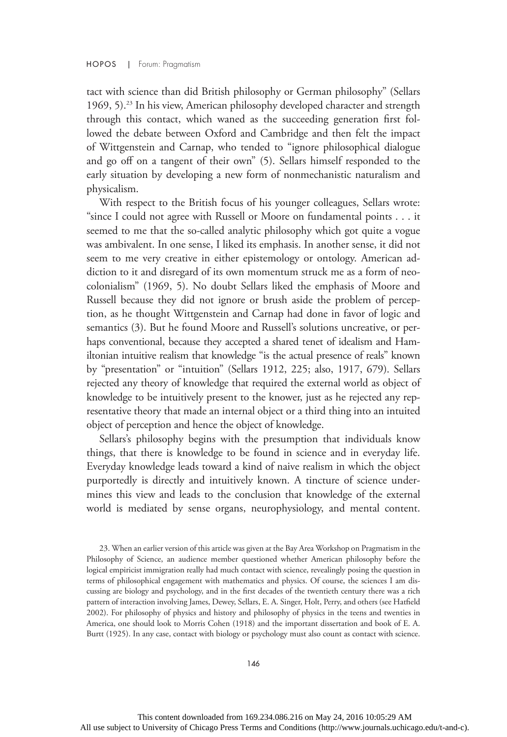tact with science than did British philosophy or German philosophy" (Sellars 1969, 5).23 In his view, American philosophy developed character and strength through this contact, which waned as the succeeding generation first followed the debate between Oxford and Cambridge and then felt the impact of Wittgenstein and Carnap, who tended to "ignore philosophical dialogue and go off on a tangent of their own" (5). Sellars himself responded to the early situation by developing a new form of nonmechanistic naturalism and physicalism.

With respect to the British focus of his younger colleagues, Sellars wrote: "since I could not agree with Russell or Moore on fundamental points . . . it seemed to me that the so-called analytic philosophy which got quite a vogue was ambivalent. In one sense, I liked its emphasis. In another sense, it did not seem to me very creative in either epistemology or ontology. American addiction to it and disregard of its own momentum struck me as a form of neocolonialism" (1969, 5). No doubt Sellars liked the emphasis of Moore and Russell because they did not ignore or brush aside the problem of perception, as he thought Wittgenstein and Carnap had done in favor of logic and semantics (3). But he found Moore and Russell's solutions uncreative, or perhaps conventional, because they accepted a shared tenet of idealism and Hamiltonian intuitive realism that knowledge "is the actual presence of reals" known by "presentation" or "intuition" (Sellars 1912, 225; also, 1917, 679). Sellars rejected any theory of knowledge that required the external world as object of knowledge to be intuitively present to the knower, just as he rejected any representative theory that made an internal object or a third thing into an intuited object of perception and hence the object of knowledge.

Sellars's philosophy begins with the presumption that individuals know things, that there is knowledge to be found in science and in everyday life. Everyday knowledge leads toward a kind of naive realism in which the object purportedly is directly and intuitively known. A tincture of science undermines this view and leads to the conclusion that knowledge of the external world is mediated by sense organs, neurophysiology, and mental content.

<sup>23.</sup> When an earlier version of this article was given at the Bay Area Workshop on Pragmatism in the Philosophy of Science, an audience member questioned whether American philosophy before the logical empiricist immigration really had much contact with science, revealingly posing the question in terms of philosophical engagement with mathematics and physics. Of course, the sciences I am discussing are biology and psychology, and in the first decades of the twentieth century there was a rich pattern of interaction involving James, Dewey, Sellars, E. A. Singer, Holt, Perry, and others (see Hatfield 2002). For philosophy of physics and history and philosophy of physics in the teens and twenties in America, one should look to Morris Cohen (1918) and the important dissertation and book of E. A. Burtt (1925). In any case, contact with biology or psychology must also count as contact with science.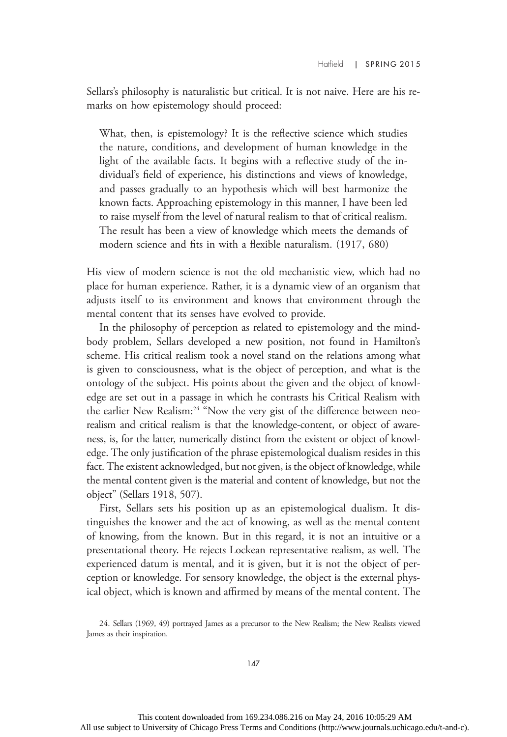Sellars's philosophy is naturalistic but critical. It is not naive. Here are his remarks on how epistemology should proceed:

What, then, is epistemology? It is the reflective science which studies the nature, conditions, and development of human knowledge in the light of the available facts. It begins with a reflective study of the individual's field of experience, his distinctions and views of knowledge, and passes gradually to an hypothesis which will best harmonize the known facts. Approaching epistemology in this manner, I have been led to raise myself from the level of natural realism to that of critical realism. The result has been a view of knowledge which meets the demands of modern science and fits in with a flexible naturalism. (1917, 680)

His view of modern science is not the old mechanistic view, which had no place for human experience. Rather, it is a dynamic view of an organism that adjusts itself to its environment and knows that environment through the mental content that its senses have evolved to provide.

In the philosophy of perception as related to epistemology and the mindbody problem, Sellars developed a new position, not found in Hamilton's scheme. His critical realism took a novel stand on the relations among what is given to consciousness, what is the object of perception, and what is the ontology of the subject. His points about the given and the object of knowledge are set out in a passage in which he contrasts his Critical Realism with the earlier New Realism:<sup>24</sup> "Now the very gist of the difference between neorealism and critical realism is that the knowledge-content, or object of awareness, is, for the latter, numerically distinct from the existent or object of knowledge. The only justification of the phrase epistemological dualism resides in this fact. The existent acknowledged, but not given, is the object of knowledge, while the mental content given is the material and content of knowledge, but not the object" (Sellars 1918, 507).

First, Sellars sets his position up as an epistemological dualism. It distinguishes the knower and the act of knowing, as well as the mental content of knowing, from the known. But in this regard, it is not an intuitive or a presentational theory. He rejects Lockean representative realism, as well. The experienced datum is mental, and it is given, but it is not the object of perception or knowledge. For sensory knowledge, the object is the external physical object, which is known and affirmed by means of the mental content. The

24. Sellars (1969, 49) portrayed James as a precursor to the New Realism; the New Realists viewed James as their inspiration.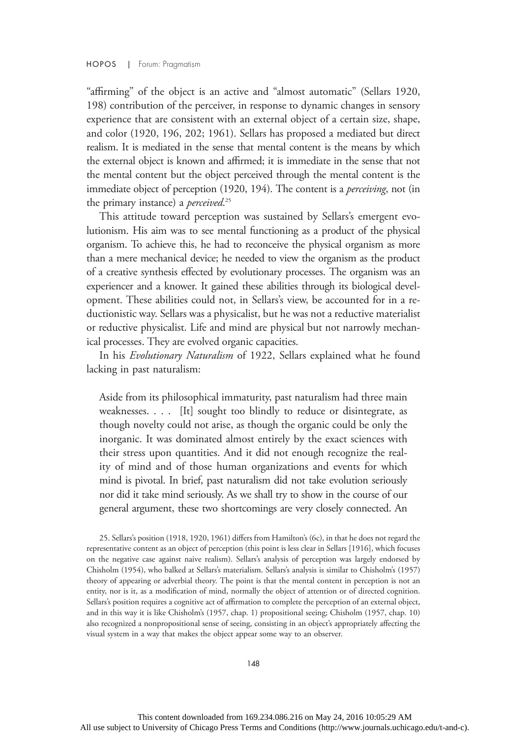"affirming" of the object is an active and "almost automatic" (Sellars 1920, 198) contribution of the perceiver, in response to dynamic changes in sensory experience that are consistent with an external object of a certain size, shape, and color (1920, 196, 202; 1961). Sellars has proposed a mediated but direct realism. It is mediated in the sense that mental content is the means by which the external object is known and affirmed; it is immediate in the sense that not the mental content but the object perceived through the mental content is the immediate object of perception (1920, 194). The content is a *perceiving*, not (in the primary instance) a *perceived*.<sup>25</sup>

This attitude toward perception was sustained by Sellars's emergent evolutionism. His aim was to see mental functioning as a product of the physical organism. To achieve this, he had to reconceive the physical organism as more than a mere mechanical device; he needed to view the organism as the product of a creative synthesis effected by evolutionary processes. The organism was an experiencer and a knower. It gained these abilities through its biological development. These abilities could not, in Sellars's view, be accounted for in a reductionistic way. Sellars was a physicalist, but he was not a reductive materialist or reductive physicalist. Life and mind are physical but not narrowly mechanical processes. They are evolved organic capacities.

In his Evolutionary Naturalism of 1922, Sellars explained what he found lacking in past naturalism:

Aside from its philosophical immaturity, past naturalism had three main weaknesses. . . . [It] sought too blindly to reduce or disintegrate, as though novelty could not arise, as though the organic could be only the inorganic. It was dominated almost entirely by the exact sciences with their stress upon quantities. And it did not enough recognize the reality of mind and of those human organizations and events for which mind is pivotal. In brief, past naturalism did not take evolution seriously nor did it take mind seriously. As we shall try to show in the course of our general argument, these two shortcomings are very closely connected. An

25. Sellars's position (1918, 1920, 1961) differs from Hamilton's (6c), in that he does not regard the representative content as an object of perception (this point is less clear in Sellars [1916], which focuses on the negative case against naive realism). Sellars's analysis of perception was largely endorsed by Chisholm (1954), who balked at Sellars's materialism. Sellars's analysis is similar to Chisholm's (1957) theory of appearing or adverbial theory. The point is that the mental content in perception is not an entity, nor is it, as a modification of mind, normally the object of attention or of directed cognition. Sellars's position requires a cognitive act of affirmation to complete the perception of an external object, and in this way it is like Chisholm's (1957, chap. 1) propositional seeing; Chisholm (1957, chap. 10) also recognized a nonpropositional sense of seeing, consisting in an object's appropriately affecting the visual system in a way that makes the object appear some way to an observer.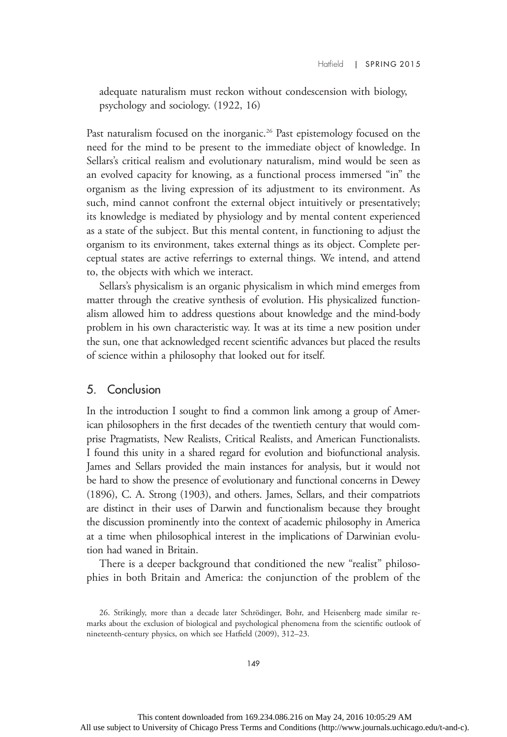adequate naturalism must reckon without condescension with biology, psychology and sociology. (1922, 16)

Past naturalism focused on the inorganic.<sup>26</sup> Past epistemology focused on the need for the mind to be present to the immediate object of knowledge. In Sellars's critical realism and evolutionary naturalism, mind would be seen as an evolved capacity for knowing, as a functional process immersed "in" the organism as the living expression of its adjustment to its environment. As such, mind cannot confront the external object intuitively or presentatively; its knowledge is mediated by physiology and by mental content experienced as a state of the subject. But this mental content, in functioning to adjust the organism to its environment, takes external things as its object. Complete perceptual states are active referrings to external things. We intend, and attend to, the objects with which we interact.

Sellars's physicalism is an organic physicalism in which mind emerges from matter through the creative synthesis of evolution. His physicalized functionalism allowed him to address questions about knowledge and the mind-body problem in his own characteristic way. It was at its time a new position under the sun, one that acknowledged recent scientific advances but placed the results of science within a philosophy that looked out for itself.

## 5. Conclusion

In the introduction I sought to find a common link among a group of American philosophers in the first decades of the twentieth century that would comprise Pragmatists, New Realists, Critical Realists, and American Functionalists. I found this unity in a shared regard for evolution and biofunctional analysis. James and Sellars provided the main instances for analysis, but it would not be hard to show the presence of evolutionary and functional concerns in Dewey (1896), C. A. Strong (1903), and others. James, Sellars, and their compatriots are distinct in their uses of Darwin and functionalism because they brought the discussion prominently into the context of academic philosophy in America at a time when philosophical interest in the implications of Darwinian evolution had waned in Britain.

There is a deeper background that conditioned the new "realist" philosophies in both Britain and America: the conjunction of the problem of the

<sup>26.</sup> Strikingly, more than a decade later Schrödinger, Bohr, and Heisenberg made similar remarks about the exclusion of biological and psychological phenomena from the scientific outlook of nineteenth-century physics, on which see Hatfield (2009), 312–23.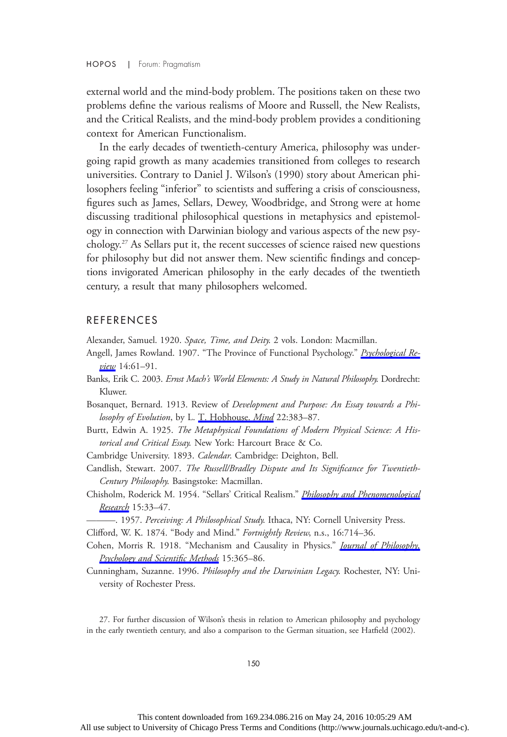external world and the mind-body problem. The positions taken on these two problems define the various realisms of Moore and Russell, the New Realists, and the Critical Realists, and the mind-body problem provides a conditioning context for American Functionalism.

In the early decades of twentieth-century America, philosophy was undergoing rapid growth as many academies transitioned from colleges to research universities. Contrary to Daniel J. Wilson's (1990) story about American philosophers feeling "inferior" to scientists and suffering a crisis of consciousness, figures such as James, Sellars, Dewey, Woodbridge, and Strong were at home discussing traditional philosophical questions in metaphysics and epistemology in connection with Darwinian biology and various aspects of the new psychology.27 As Sellars put it, the recent successes of science raised new questions for philosophy but did not answer them. New scientific findings and conceptions invigorated American philosophy in the early decades of the twentieth century, a result that many philosophers welcomed.

#### REFERENCES

Alexander, Samuel. 1920. Space, Time, and Deity. 2 vols. London: Macmillan.

- Angell, James Rowland. 1907. "The Province of Functional Psychology." *[Psychological Re](http://www.journals.uchicago.edu/action/showLinks?crossref=10.1037%2Fh0070817)*[view](http://www.journals.uchicago.edu/action/showLinks?crossref=10.1037%2Fh0070817) 14:61–91.
- Banks, Erik C. 2003. Ernst Mach's World Elements: A Study in Natural Philosophy. Dordrecht: Kluwer.

Bosanquet, Bernard. 1913. Review of Development and Purpose: An Essay towards a Phi-losophy of Evolution, by L. [T. Hobhouse.](http://www.journals.uchicago.edu/action/showLinks?crossref=10.1093%2Fmind%2FXXII.87.383) Mind 22:383-87.

- Burtt, Edwin A. 1925. The Metaphysical Foundations of Modern Physical Science: A Historical and Critical Essay. New York: Harcourt Brace & Co.
- Cambridge University. 1893. Calendar. Cambridge: Deighton, Bell.
- Candlish, Stewart. 2007. The Russell/Bradley Dispute and Its Significance for Twentieth-Century Philosophy. Basingstoke: Macmillan.
- Chisholm, Roderick M. 1954. "Sellars' Critical Realism." [Philosophy and Phenomenological](http://www.journals.uchicago.edu/action/showLinks?crossref=10.2307%2F2103739) [Research](http://www.journals.uchicago.edu/action/showLinks?crossref=10.2307%2F2103739) 15:33-47.
- -. 1957. Perceiving: A Philosophical Study. Ithaca, NY: Cornell University Press. Clifford, W. K. 1874. "Body and Mind." Fortnightly Review, n.s., 16:714–36.
- Cohen, Morris R. 1918. "Mechanism and Causality in Physics." [Journal of Philosophy,](http://www.journals.uchicago.edu/action/showLinks?crossref=10.2307%2F2940012) [Psychology and Scienti](http://www.journals.uchicago.edu/action/showLinks?crossref=10.2307%2F2940012)fic Methods 15:365-86.
- Cunningham, Suzanne. 1996. Philosophy and the Darwinian Legacy. Rochester, NY: University of Rochester Press.

27. For further discussion of Wilson's thesis in relation to American philosophy and psychology in the early twentieth century, and also a comparison to the German situation, see Hatfield (2002).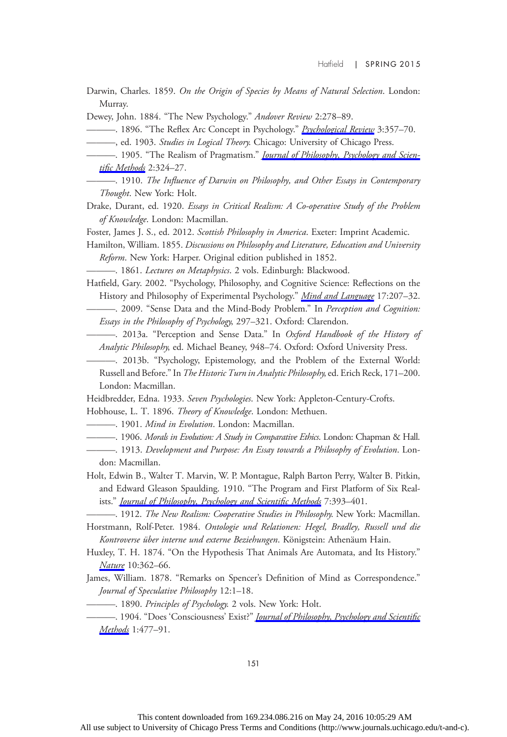- Darwin, Charles. 1859. On the Origin of Species by Means of Natural Selection. London: Murray.
- Dewey, John. 1884. "The New Psychology." Andover Review 2:278–89.
- . 1896. "The Reflex Arc Concept in Psychology." *[Psychological Review](http://www.journals.uchicago.edu/action/showLinks?crossref=10.1037%2Fh0070405)* 3:357-70.
- -, ed. 1903. Studies in Logical Theory. Chicago: University of Chicago Press.
- —. 1905. "The Realism of Pragmatism." *Journal of Philosophy*, *Psychology and Scien*tifi[c Methods](http://www.journals.uchicago.edu/action/showLinks?crossref=10.2307%2F2010861) 2:324-27.
- ———. 1910. The Influence of Darwin on Philosophy, and Other Essays in Contemporary Thought. New York: Holt.
- Drake, Durant, ed. 1920. Essays in Critical Realism: A Co-operative Study of the Problem of Knowledge. London: Macmillan.
- Foster, James J. S., ed. 2012. Scottish Philosophy in America. Exeter: Imprint Academic.
- Hamilton, William. 1855. Discussions on Philosophy and Literature, Education and University Reform. New York: Harper. Original edition published in 1852.
	- -. 1861. Lectures on Metaphysics. 2 vols. Edinburgh: Blackwood.
- Hatfield, Gary. 2002. "Psychology, Philosophy, and Cognitive Science: Reflections on the History and Philosophy of Experimental Psychology." [Mind and Language](http://www.journals.uchicago.edu/action/showLinks?crossref=10.1111%2F1468-0017.00196) 17:207-32.
- -. 2009. "Sense Data and the Mind-Body Problem." In Perception and Cognition: Essays in the Philosophy of Psychology, 297–321. Oxford: Clarendon.
	- ———. 2013a. "Perception and Sense Data." In Oxford Handbook of the History of Analytic Philosophy, ed. Michael Beaney, 948–74. Oxford: Oxford University Press.
	- ———. 2013b. "Psychology, Epistemology, and the Problem of the External World: Russell and Before." In The Historic Turn in Analytic Philosophy, ed. Erich Reck, 171-200. London: Macmillan.
- Heidbredder, Edna. 1933. Seven Psychologies. New York: Appleton-Century-Crofts.
- Hobhouse, L. T. 1896. Theory of Knowledge. London: Methuen.
- **1901.** Mind in Evolution. London: Macmillan.
- 1906. Morals in Evolution: A Study in Comparative Ethics. London: Chapman & Hall.
- ———. 1913. Development and Purpose: An Essay towards a Philosophy of Evolution. London: Macmillan.
- Holt, Edwin B., Walter T. Marvin, W. P. Montague, Ralph Barton Perry, Walter B. Pitkin, and Edward Gleason Spaulding. 1910. "The Program and First Platform of Six Realists." [Journal of Philosophy, Psychology and Scienti](http://www.journals.uchicago.edu/action/showLinks?crossref=10.2307%2F2010710)fic Methods 7:393–401.
	- 1912. The New Realism: Cooperative Studies in Philosophy. New York: Macmillan.

Horstmann, Rolf-Peter. 1984. Ontologie und Relationen: Hegel, Bradley, Russell und die Kontroverse über interne und externe Beziehungen. Königstein: Athenäum Hain.

- Huxley, T. H. 1874. "On the Hypothesis That Animals Are Automata, and Its History." [Nature](http://www.journals.uchicago.edu/action/showLinks?crossref=10.1038%2F010362a0) 10:362–66.
- James, William. 1878. "Remarks on Spencer's Definition of Mind as Correspondence." Journal of Speculative Philosophy 12:1–18.
	- —–. 1890. Principles of Psychology. 2 vols. New York: Holt.
- —. 1904. "Does 'Consciousness' Exist?" *[Journal of Philosophy, Psychology and Scienti](http://www.journals.uchicago.edu/action/showLinks?crossref=10.2307%2F2011942)fic* [Methods](http://www.journals.uchicago.edu/action/showLinks?crossref=10.2307%2F2011942) 1:477-91.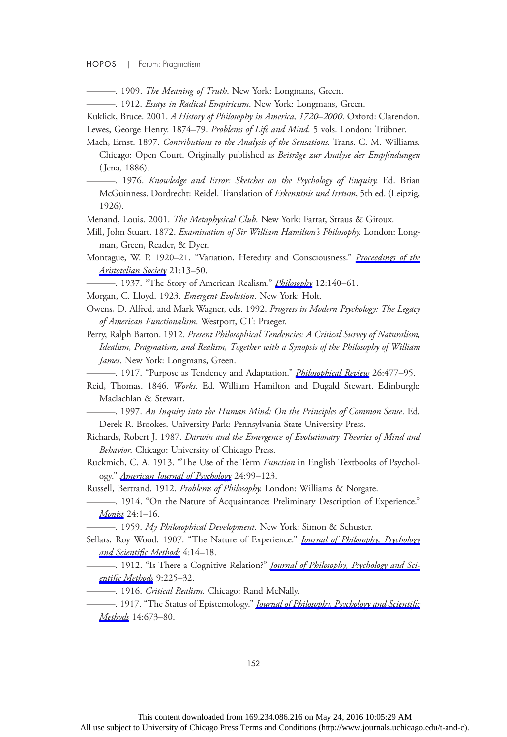HOPOS | Forum: Pragmatism

- -. 1909. The Meaning of Truth. New York: Longmans, Green.
- <sup>22</sup> 1912. *Essays in Radical Empiricism*. New York: Longmans, Green.

Kuklick, Bruce. 2001. A History of Philosophy in America, 1720–2000. Oxford: Clarendon.

- Lewes, George Henry. 1874–79. Problems of Life and Mind. 5 vols. London: Trübner.
- Mach, Ernst. 1897. Contributions to the Analysis of the Sensations. Trans. C. M. Williams. Chicago: Open Court. Originally published as Beiträge zur Analyse der Empfindungen ( Jena, 1886).
	- 1976. Knowledge and Error: Sketches on the Psychology of Enquiry. Ed. Brian McGuinness. Dordrecht: Reidel. Translation of Erkenntnis und Irrtum, 5th ed. (Leipzig, 1926).

Menand, Louis. 2001. The Metaphysical Club. New York: Farrar, Straus & Giroux.

- Mill, John Stuart. 1872. Examination of Sir William Hamilton's Philosophy. London: Longman, Green, Reader, & Dyer.
- Montague, W. P. 1920–21. "Variation, Heredity and Consciousness." [Proceedings of the](http://www.journals.uchicago.edu/action/showLinks?crossref=10.1093%2Faristotelian%2F21.1.13) [Aristotelian Society](http://www.journals.uchicago.edu/action/showLinks?crossref=10.1093%2Faristotelian%2F21.1.13) 21:13-50.
	- -. 1937. "The Story of American Realism." *[Philosophy](http://www.journals.uchicago.edu/action/showLinks?crossref=10.1017%2FS0031819100010470)* 12:140-61.
- Morgan, C. Lloyd. 1923. Emergent Evolution. New York: Holt.
- Owens, D. Alfred, and Mark Wagner, eds. 1992. Progress in Modern Psychology: The Legacy of American Functionalism. Westport, CT: Praeger.
- Perry, Ralph Barton. 1912. Present Philosophical Tendencies: A Critical Survey of Naturalism, Idealism, Pragmatism, and Realism, Together with a Synopsis of the Philosophy of William James. New York: Longmans, Green.

—. 1917. "Purpose as Tendency and Adaptation." *[Philosophical Review](http://www.journals.uchicago.edu/action/showLinks?crossref=10.2307%2F2178045)* 26:477-95.

Reid, Thomas. 1846. Works. Ed. William Hamilton and Dugald Stewart. Edinburgh: Maclachlan & Stewart.

———. 1997. An Inquiry into the Human Mind: On the Principles of Common Sense. Ed. Derek R. Brookes. University Park: Pennsylvania State University Press.

- Richards, Robert J. 1987. Darwin and the Emergence of Evolutionary Theories of Mind and Behavior. Chicago: University of Chicago Press.
- Ruckmich, C. A. 1913. "The Use of the Term Function in English Textbooks of Psychol-ogy." [American Journal of Psychology](http://www.journals.uchicago.edu/action/showLinks?crossref=10.2307%2F1413276) 24:99-123.
- Russell, Bertrand. 1912. Problems of Philosophy. London: Williams & Norgate.

-. 1959. My Philosophical Development. New York: Simon & Schuster.

Sellars, Roy Wood. 1907. "The Nature of Experience." *Journal of Philosophy*, *Psychology* [and Scienti](http://www.journals.uchicago.edu/action/showLinks?crossref=10.2307%2F2011391)fic Methods 4:14–18.

-. 1912. "Is There a Cognitive Relation?" *[Journal of Philosophy, Psychology and Sci](http://www.journals.uchicago.edu/action/showLinks?crossref=10.2307%2F2013733)*entifi[c Methods](http://www.journals.uchicago.edu/action/showLinks?crossref=10.2307%2F2013733) 9:225-32.

-. 1916. Critical Realism. Chicago: Rand McNally.

<sup>2</sup> - 1917. "The Status of Epistemology." *[Journal of Philosophy, Psychology and Scienti](http://www.journals.uchicago.edu/action/showLinks?crossref=10.2307%2F2940061)fic* [Methods](http://www.journals.uchicago.edu/action/showLinks?crossref=10.2307%2F2940061) 14:673-80.

<sup>———</sup>. 1914. "On the Nature of Acquaintance: Preliminary Description of Experience." [Monist](http://www.journals.uchicago.edu/action/showLinks?crossref=10.5840%2Fmonist19142412) 24:1-16.